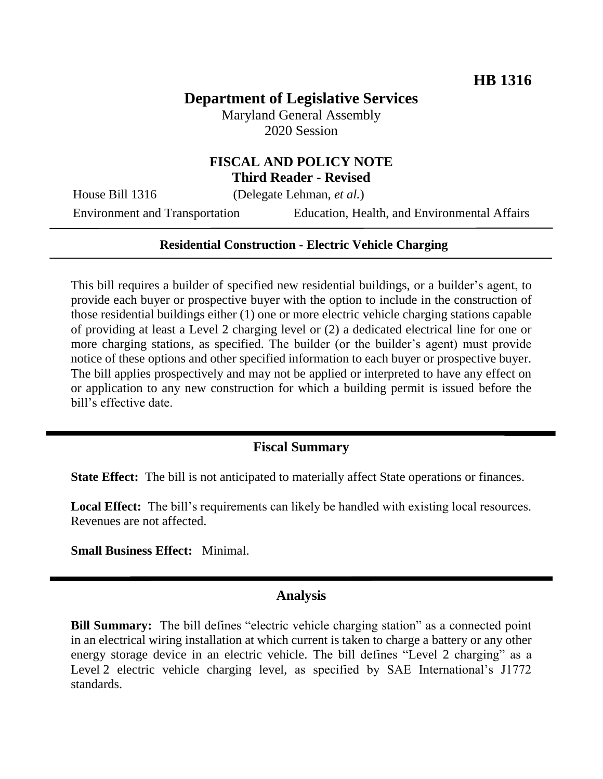# **Department of Legislative Services**

Maryland General Assembly 2020 Session

# **FISCAL AND POLICY NOTE Third Reader - Revised**

House Bill 1316 (Delegate Lehman, *et al.*)

Environment and Transportation Education, Health, and Environmental Affairs

#### **Residential Construction - Electric Vehicle Charging**

This bill requires a builder of specified new residential buildings, or a builder's agent, to provide each buyer or prospective buyer with the option to include in the construction of those residential buildings either (1) one or more electric vehicle charging stations capable of providing at least a Level 2 charging level or (2) a dedicated electrical line for one or more charging stations, as specified. The builder (or the builder's agent) must provide notice of these options and other specified information to each buyer or prospective buyer. The bill applies prospectively and may not be applied or interpreted to have any effect on or application to any new construction for which a building permit is issued before the bill's effective date.

#### **Fiscal Summary**

**State Effect:** The bill is not anticipated to materially affect State operations or finances.

Local Effect: The bill's requirements can likely be handled with existing local resources. Revenues are not affected.

**Small Business Effect:** Minimal.

#### **Analysis**

**Bill Summary:** The bill defines "electric vehicle charging station" as a connected point in an electrical wiring installation at which current is taken to charge a battery or any other energy storage device in an electric vehicle. The bill defines "Level 2 charging" as a Level 2 electric vehicle charging level, as specified by SAE International's J1772 standards.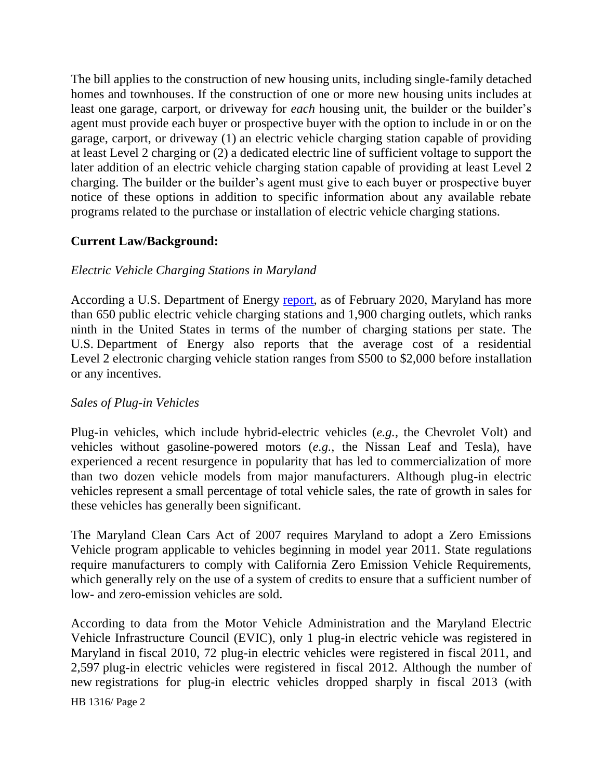The bill applies to the construction of new housing units, including single-family detached homes and townhouses. If the construction of one or more new housing units includes at least one garage, carport, or driveway for *each* housing unit, the builder or the builder's agent must provide each buyer or prospective buyer with the option to include in or on the garage, carport, or driveway (1) an electric vehicle charging station capable of providing at least Level 2 charging or (2) a dedicated electric line of sufficient voltage to support the later addition of an electric vehicle charging station capable of providing at least Level 2 charging. The builder or the builder's agent must give to each buyer or prospective buyer notice of these options in addition to specific information about any available rebate programs related to the purchase or installation of electric vehicle charging stations.

# **Current Law/Background:**

# *Electric Vehicle Charging Stations in Maryland*

According a U.S. Department of Energy [report,](https://afdc.energy.gov/stations/states) as of February 2020, Maryland has more than 650 public electric vehicle charging stations and 1,900 charging outlets, which ranks ninth in the United States in terms of the number of charging stations per state. The U.S. Department of Energy also reports that the average cost of a residential Level 2 electronic charging vehicle station ranges from \$500 to \$2,000 before installation or any incentives.

# *Sales of Plug-in Vehicles*

Plug-in vehicles, which include hybrid-electric vehicles (*e.g.,* the Chevrolet Volt) and vehicles without gasoline-powered motors (*e.g.,* the Nissan Leaf and Tesla), have experienced a recent resurgence in popularity that has led to commercialization of more than two dozen vehicle models from major manufacturers. Although plug-in electric vehicles represent a small percentage of total vehicle sales, the rate of growth in sales for these vehicles has generally been significant.

The Maryland Clean Cars Act of 2007 requires Maryland to adopt a Zero Emissions Vehicle program applicable to vehicles beginning in model year 2011. State regulations require manufacturers to comply with California Zero Emission Vehicle Requirements, which generally rely on the use of a system of credits to ensure that a sufficient number of low- and zero-emission vehicles are sold.

According to data from the Motor Vehicle Administration and the Maryland Electric Vehicle Infrastructure Council (EVIC), only 1 plug-in electric vehicle was registered in Maryland in fiscal 2010, 72 plug-in electric vehicles were registered in fiscal 2011, and 2,597 plug-in electric vehicles were registered in fiscal 2012. Although the number of new registrations for plug-in electric vehicles dropped sharply in fiscal 2013 (with

HB 1316/ Page 2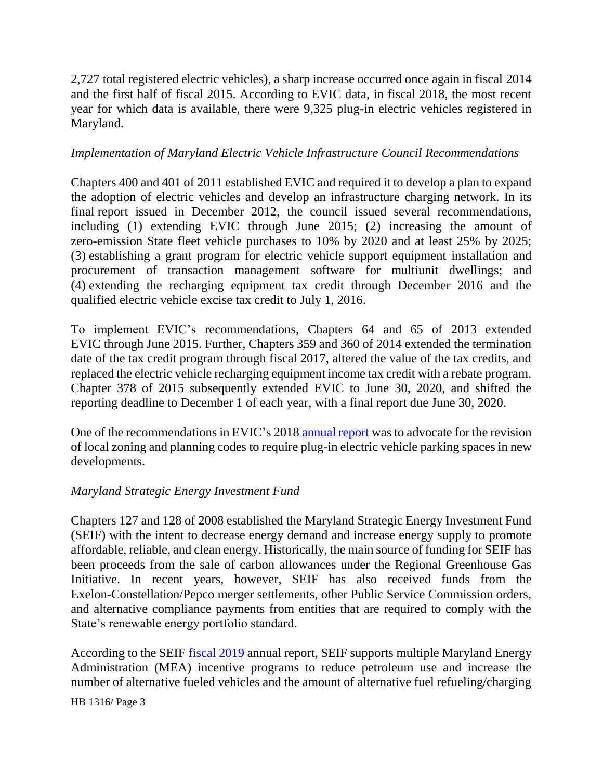2,727 total registered electric vehicles), a sharp increase occurred once again in fiscal 2014 and the first half of fiscal 2015. According to EVIC data, in fiscal 2018, the most recent year for which data is available, there were 9,325 plug-in electric vehicles registered in Maryland.

#### *Implementation of Maryland Electric Vehicle Infrastructure Council Recommendations*

Chapters 400 and 401 of 2011 established EVIC and required it to develop a plan to expand the adoption of electric vehicles and develop an infrastructure charging network. In its final report issued in December 2012, the council issued several recommendations, including (1) extending EVIC through June 2015; (2) increasing the amount of zero-emission State fleet vehicle purchases to 10% by 2020 and at least 25% by 2025; (3) establishing a grant program for electric vehicle support equipment installation and procurement of transaction management software for multiunit dwellings; and (4) extending the recharging equipment tax credit through December 2016 and the qualified electric vehicle excise tax credit to July 1, 2016.

To implement EVIC's recommendations, Chapters 64 and 65 of 2013 extended EVIC through June 2015. Further, Chapters 359 and 360 of 2014 extended the termination date of the tax credit program through fiscal 2017, altered the value of the tax credits, and replaced the electric vehicle recharging equipment income tax credit with a rebate program. Chapter 378 of 2015 subsequently extended EVIC to June 30, 2020, and shifted the reporting deadline to December 1 of each year, with a final report due June 30, 2020.

One of the recommendations in EVIC's 201[8 annual report](http://www.mdot.maryland.gov/newMDOT/Planning/Electric_Vehicle/Documents/FINAL_2018_EVIC_Report_3-2019.pdf) was to advocate for the revision of local zoning and planning codes to require plug-in electric vehicle parking spaces in new developments.

# *Maryland Strategic Energy Investment Fund*

Chapters 127 and 128 of 2008 established the Maryland Strategic Energy Investment Fund (SEIF) with the intent to decrease energy demand and increase energy supply to promote affordable, reliable, and clean energy. Historically, the main source of funding for SEIF has been proceeds from the sale of carbon allowances under the Regional Greenhouse Gas Initiative. In recent years, however, SEIF has also received funds from the Exelon-Constellation/Pepco merger settlements, other Public Service Commission orders, and alternative compliance payments from entities that are required to comply with the State's renewable energy portfolio standard.

According to the SEIF [fiscal 2019](https://energy.maryland.gov/Reports/FY19%20SEIF%20Annual%20Report.pdf) annual report, SEIF supports multiple Maryland Energy Administration (MEA) incentive programs to reduce petroleum use and increase the number of alternative fueled vehicles and the amount of alternative fuel refueling/charging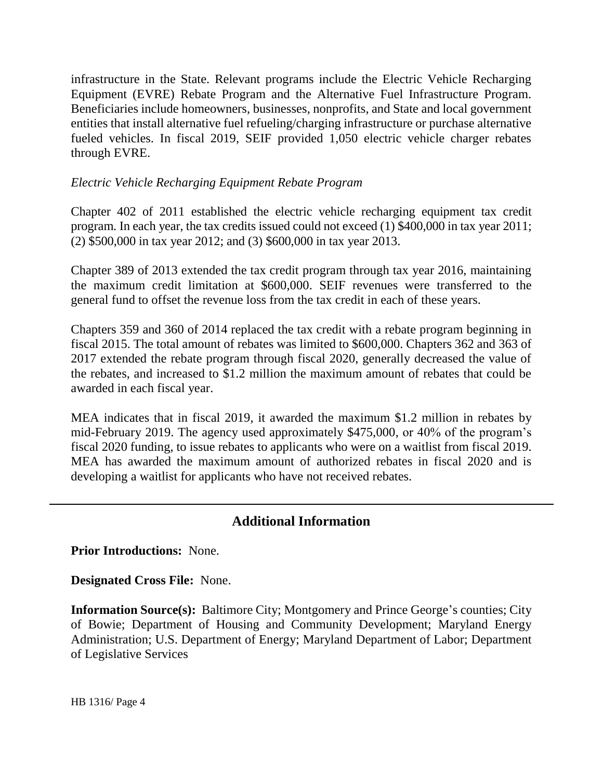infrastructure in the State. Relevant programs include the Electric Vehicle Recharging Equipment (EVRE) Rebate Program and the Alternative Fuel Infrastructure Program. Beneficiaries include homeowners, businesses, nonprofits, and State and local government entities that install alternative fuel refueling/charging infrastructure or purchase alternative fueled vehicles. In fiscal 2019, SEIF provided 1,050 electric vehicle charger rebates through EVRE.

#### *Electric Vehicle Recharging Equipment Rebate Program*

Chapter 402 of 2011 established the electric vehicle recharging equipment tax credit program. In each year, the tax credits issued could not exceed (1) \$400,000 in tax year 2011; (2) \$500,000 in tax year 2012; and (3) \$600,000 in tax year 2013.

Chapter 389 of 2013 extended the tax credit program through tax year 2016, maintaining the maximum credit limitation at \$600,000. SEIF revenues were transferred to the general fund to offset the revenue loss from the tax credit in each of these years.

Chapters 359 and 360 of 2014 replaced the tax credit with a rebate program beginning in fiscal 2015. The total amount of rebates was limited to \$600,000. Chapters 362 and 363 of 2017 extended the rebate program through fiscal 2020, generally decreased the value of the rebates, and increased to \$1.2 million the maximum amount of rebates that could be awarded in each fiscal year.

MEA indicates that in fiscal 2019, it awarded the maximum \$1.2 million in rebates by mid-February 2019. The agency used approximately \$475,000, or 40% of the program's fiscal 2020 funding, to issue rebates to applicants who were on a waitlist from fiscal 2019. MEA has awarded the maximum amount of authorized rebates in fiscal 2020 and is developing a waitlist for applicants who have not received rebates.

# **Additional Information**

**Prior Introductions:** None.

**Designated Cross File:** None.

**Information Source(s):** Baltimore City; Montgomery and Prince George's counties; City of Bowie; Department of Housing and Community Development; Maryland Energy Administration; U.S. Department of Energy; Maryland Department of Labor; Department of Legislative Services